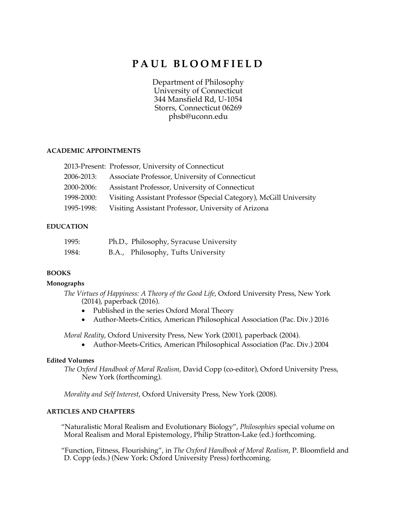# **PAUL BLOOMFIELD**

Department of Philosophy University of Connecticut 344 Mansfield Rd, U-1054 Storrs, Connecticut 06269 phsb@uconn.edu

## **ACADEMIC APPOINTMENTS**

|            | 2013-Present: Professor, University of Connecticut                 |
|------------|--------------------------------------------------------------------|
| 2006-2013: | Associate Professor, University of Connecticut                     |
| 2000-2006: | Assistant Professor, University of Connecticut                     |
| 1998-2000: | Visiting Assistant Professor (Special Category), McGill University |
| 1995-1998: | Visiting Assistant Professor, University of Arizona                |

## **EDUCATION**

| 1995: | Ph.D., Philosophy, Syracuse University |
|-------|----------------------------------------|
| 1984: | B.A., Philosophy, Tufts University     |

## **BOOKS**

## **Monographs**

*The Virtues of Happiness: A Theory of the Good Life*, Oxford University Press, New York (2014), paperback (2016).

- Published in the series Oxford Moral Theory
- Author-Meets-Critics, American Philosophical Association (Pac. Div.) 2016

*Moral Reality*, Oxford University Press, New York (2001), paperback (2004).

• Author-Meets-Critics, American Philosophical Association (Pac. Div.) 2004

## **Edited Volumes**

*The Oxford Handbook of Moral Realism*, David Copp (co-editor), Oxford University Press, New York (forthcoming).

*Morality and Self Interest*, Oxford University Press, New York (2008).

## **ARTICLES AND CHAPTERS**

"Naturalistic Moral Realism and Evolutionary Biology", *Philosophies* special volume on Moral Realism and Moral Epistemology, Philip Stratton-Lake (ed.) forthcoming.

"Function, Fitness, Flourishing", in *The Oxford Handbook of Moral Realism*, P. Bloomfield and D. Copp (eds.) (New York: Oxford University Press) forthcoming.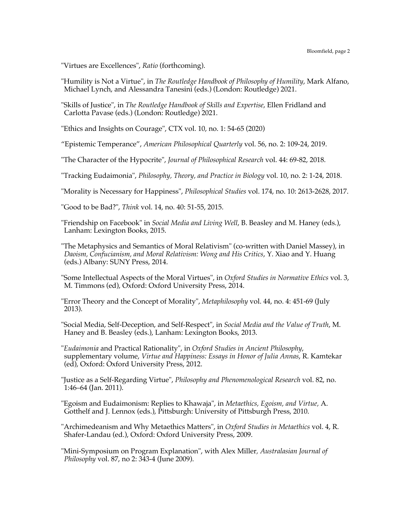"Virtues are Excellences", *Ratio* (forthcoming).

"Humility is Not a Virtue", in *The Routledge Handbook of Philosophy of Humility*, Mark Alfano, Michael Lynch, and Alessandra Tanesini (eds.) (London: Routledge) 2021.

"Skills of Justice", in *The Routledge Handbook of Skills and Expertise*, Ellen Fridland and Carlotta Pavase (eds.) (London: Routledge) 2021.

"Ethics and Insights on Courage", CTX vol. 10, no. 1: 54-65 (2020)

"Epistemic Temperance", *American Philosophical Quarterly* vol. 56, no. 2: 109-24, 2019.

"The Character of the Hypocrite", *Journal of Philosophical Research* vol. 44: 69-82, 2018.

"Tracking Eudaimonia", *Philosophy, Theory, and Practice in Biology* vol. 10, no. 2: 1-24, 2018.

"Morality is Necessary for Happiness", *Philosophical Studies* vol. 174, no. 10: 2613-2628, 2017.

"Good to be Bad?", *Think* vol. 14, no. 40: 51-55, 2015.

"Friendship on Facebook" in *Social Media and Living Well*, B. Beasley and M. Haney (eds.), Lanham: Lexington Books, 2015.

"The Metaphysics and Semantics of Moral Relativism" (co-written with Daniel Massey), in *Daoism, Confucianism, and Moral Relativism: Wong and His Critics*, Y. Xiao and Y. Huang (eds.) Albany: SUNY Press, 2014.

"Some Intellectual Aspects of the Moral Virtues", in *Oxford Studies in Normative Ethics* vol. 3, M. Timmons (ed), Oxford: Oxford University Press, 2014.

"Error Theory and the Concept of Morality", *Metaphilosophy* vol. 44, no. 4: 451-69 (July 2013).

"Social Media, Self-Deception, and Self-Respect", in *Social Media and the Value of Truth*, M. Haney and B. Beasley (eds.), Lanham: Lexington Books, 2013.

"*Eudaimonia* and Practical Rationality", in *Oxford Studies in Ancient Philosophy*, supplementary volume, *Virtue and Happiness: Essays in Honor of Julia Annas*, R. Kamtekar (ed), Oxford: Oxford University Press, 2012.

"Justice as a Self-Regarding Virtue", *Philosophy and Phenomenological Research* vol. 82, no. 1:46–64 (Jan. 2011).

"Egoism and Eudaimonism: Replies to Khawaja", in *Metaethics, Egoism, and Virtue,* A. Gotthelf and J. Lennox (eds.), Pittsburgh: University of Pittsburgh Press, 2010.

"Archimedeanism and Why Metaethics Matters", in *Oxford Studies in Metaethics* vol. 4, R. Shafer-Landau (ed.), Oxford: Oxford University Press, 2009.

"Mini-Symposium on Program Explanation", with Alex Miller*, Australasian Journal of Philosophy* vol. 87, no 2: 343-4 (June 2009).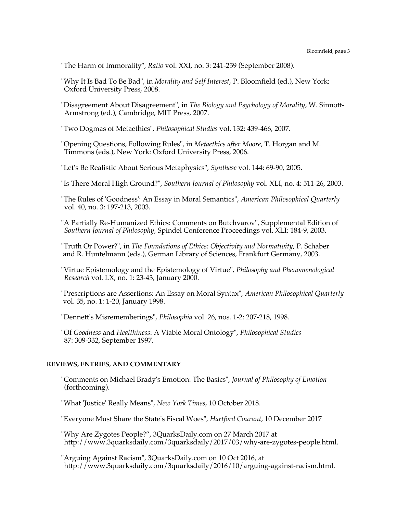"The Harm of Immorality", *Ratio* vol. XXI, no. 3: 241-259 (September 2008).

"Why It Is Bad To Be Bad", in *Morality and Self Interest*, P. Bloomfield (ed.), New York: Oxford University Press, 2008.

"Disagreement About Disagreement", in *The Biology and Psychology of Morality*, W. Sinnott-Armstrong (ed.), Cambridge, MIT Press, 2007.

"Two Dogmas of Metaethics", *Philosophical Studies* vol. 132: 439-466, 2007.

"Opening Questions, Following Rules", in *Metaethics after Moore*, T. Horgan and M. Timmons (eds.), New York: Oxford University Press, 2006.

"Let's Be Realistic About Serious Metaphysics", *Synthese* vol. 144: 69-90, 2005.

"Is There Moral High Ground?", *Southern Journal of Philosophy* vol. XLI, no. 4: 511-26, 2003.

"The Rules of 'Goodness': An Essay in Moral Semantics", *American Philosophical Quarterly* vol. 40, no. 3: 197-213, 2003.

"A Partially Re-Humanized Ethics: Comments on Butchvarov", Supplemental Edition of *Southern Journal of Philosophy*, Spindel Conference Proceedings vol. XLI: 184-9, 2003.

"Truth Or Power?", in *The Foundations of Ethics: Objectivity and Normativity*, P. Schaber and R. Huntelmann (eds.), German Library of Sciences, Frankfurt Germany, 2003.

"Virtue Epistemology and the Epistemology of Virtue", *Philosophy and Phenomenological Research* vol. LX, no. 1: 23-43, January 2000.

"Prescriptions are Assertions: An Essay on Moral Syntax", *American Philosophical Quarterly* vol. 35, no. 1: 1-20, January 1998.

"Dennett's Misrememberings", *Philosophia* vol. 26, nos. 1-2: 207-218, 1998.

"Of *Goodness* and *Healthiness*: A Viable Moral Ontology", *Philosophical Studies* 87: 309-332, September 1997.

### **REVIEWS, ENTRIES, AND COMMENTARY**

"Comments on Michael Brady's Emotion: The Basics", *Journal of Philosophy of Emotion* (forthcoming).

"What 'Justice' Really Means", *New York Times*, 10 October 2018.

"Everyone Must Share the State's Fiscal Woes", *Hartford Courant*, 10 December 2017

"Why Are Zygotes People?", 3QuarksDaily.com on 27 March 2017 at http://www.3quarksdaily.com/3quarksdaily/2017/03/why-are-zygotes-people.html.

"Arguing Against Racism", 3QuarksDaily.com on 10 Oct 2016, at http://www.3quarksdaily.com/3quarksdaily/2016/10/arguing-against-racism.html.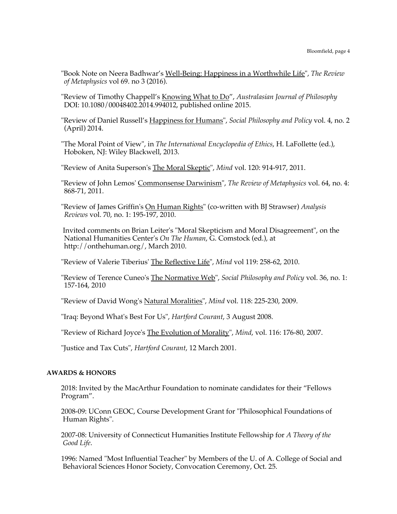- "Book Note on Neera Badhwar's Well-Being: Happiness in a Worthwhile Life", *The Review of Metaphysics* vol 69. no 3 (2016).
- "Review of Timothy Chappell's Knowing What to Do", *Australasian Journal of Philosophy* DOI: 10.1080/00048402.2014.994012, published online 2015.
- "Review of Daniel Russell's Happiness for Humans", *Social Philosophy and Policy* vol. 4, no. 2 (April) 2014.
- "The Moral Point of View", in *The International Encyclopedia of Ethics*, H. LaFollette (ed.), Hoboken, NJ: Wiley Blackwell, 2013.
- "Review of Anita Superson's The Moral Skeptic", *Mind* vol. 120: 914-917, 2011.
- "Review of John Lemos' Commonsense Darwinism", *The Review of Metaphysics* vol. 64, no. 4: 868-71, 2011.
- "Review of James Griffin's On Human Rights" (co-written with BJ Strawser) *Analysis Reviews* vol. 70, no. 1: 195-197, 2010.
- Invited comments on Brian Leiter's "Moral Skepticism and Moral Disagreement", on the National Humanities Center's *On The Human*, G. Comstock (ed.), at http://onthehuman.org/, March 2010.
- "Review of Valerie Tiberius' The Reflective Life", *Mind* vol 119: 258-62, 2010.
- "Review of Terence Cuneo's The Normative Web", *Social Philosophy and Policy* vol. 36, no. 1: 157-164, 2010
- "Review of David Wong's Natural Moralities", *Mind* vol. 118: 225-230, 2009.
- "Iraq: Beyond What's Best For Us", *Hartford Courant*, 3 August 2008.
- "Review of Richard Joyce's The Evolution of Morality", *Mind*, vol. 116: 176-80, 2007.
- "Justice and Tax Cuts", *Hartford Courant*, 12 March 2001.

### **AWARDS & HONORS**

- 2018: Invited by the MacArthur Foundation to nominate candidates for their "Fellows Program".
- 2008-09: UConn GEOC, Course Development Grant for "Philosophical Foundations of Human Rights".
- 2007-08: University of Connecticut Humanities Institute Fellowship for *A Theory of the Good Life*.
- 1996: Named "Most Influential Teacher" by Members of the U. of A. College of Social and Behavioral Sciences Honor Society, Convocation Ceremony, Oct. 25.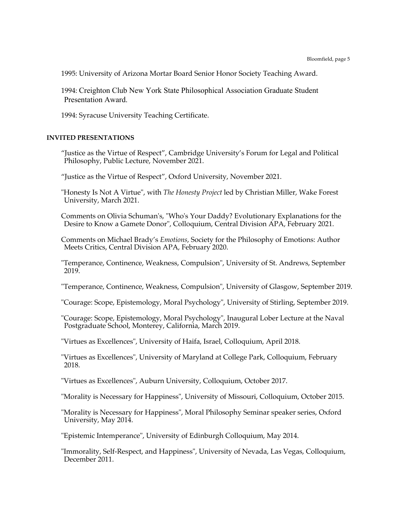1995: University of Arizona Mortar Board Senior Honor Society Teaching Award.

1994: Creighton Club New York State Philosophical Association Graduate Student Presentation Award.

1994: Syracuse University Teaching Certificate.

### **INVITED PRESENTATIONS**

"Justice as the Virtue of Respect", Cambridge University's Forum for Legal and Political Philosophy, Public Lecture, November 2021.

"Justice as the Virtue of Respect", Oxford University, November 2021.

"Honesty Is Not A Virtue", with *The Honesty Project* led by Christian Miller, Wake Forest University, March 2021.

Comments on Olivia Schuman's, "Who's Your Daddy? Evolutionary Explanations for the Desire to Know a Gamete Donor", Colloquium, Central Division APA, February 2021.

Comments on Michael Brady's *Emotions*, Society for the Philosophy of Emotions: Author Meets Critics, Central Division APA, February 2020.

"Temperance, Continence, Weakness, Compulsion", University of St. Andrews, September 2019.

"Temperance, Continence, Weakness, Compulsion", University of Glasgow, September 2019.

"Courage: Scope, Epistemology, Moral Psychology", University of Stirling, September 2019.

"Courage: Scope, Epistemology, Moral Psychology", Inaugural Lober Lecture at the Naval Postgraduate School, Monterey, California, March 2019.

"Virtues as Excellences", University of Haifa, Israel, Colloquium, April 2018.

"Virtues as Excellences", University of Maryland at College Park, Colloquium, February 2018.

"Virtues as Excellences", Auburn University, Colloquium, October 2017.

"Morality is Necessary for Happiness", University of Missouri, Colloquium, October 2015.

"Morality is Necessary for Happiness", Moral Philosophy Seminar speaker series, Oxford University, May 2014.

"Epistemic Intemperance", University of Edinburgh Colloquium, May 2014.

"Immorality, Self-Respect, and Happiness", University of Nevada, Las Vegas, Colloquium, December 2011.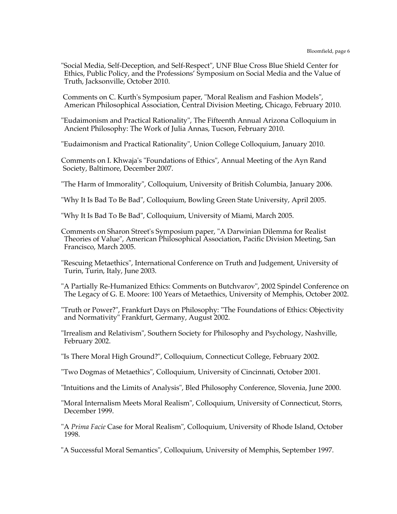"Social Media, Self-Deception, and Self-Respect", UNF Blue Cross Blue Shield Center for Ethics, Public Policy, and the Professions' Symposium on Social Media and the Value of Truth, Jacksonville, October 2010.

Comments on C. Kurth's Symposium paper, "Moral Realism and Fashion Models", American Philosophical Association, Central Division Meeting, Chicago, February 2010.

"Eudaimonism and Practical Rationality", The Fifteenth Annual Arizona Colloquium in Ancient Philosophy: The Work of Julia Annas, Tucson, February 2010.

"Eudaimonism and Practical Rationality", Union College Colloquium, January 2010.

Comments on I. Khwaja's "Foundations of Ethics", Annual Meeting of the Ayn Rand Society, Baltimore, December 2007.

"The Harm of Immorality", Colloquium, University of British Columbia, January 2006.

"Why It Is Bad To Be Bad", Colloquium, Bowling Green State University, April 2005.

"Why It Is Bad To Be Bad", Colloquium, University of Miami, March 2005.

Comments on Sharon Street's Symposium paper, "A Darwinian Dilemma for Realist Theories of Value", American Philosophical Association, Pacific Division Meeting, San Francisco, March 2005.

"Rescuing Metaethics", International Conference on Truth and Judgement, University of Turin, Turin, Italy, June 2003.

"A Partially Re-Humanized Ethics: Comments on Butchvarov", 2002 Spindel Conference on The Legacy of G. E. Moore: 100 Years of Metaethics, University of Memphis, October 2002.

"Truth or Power?", Frankfurt Days on Philosophy: "The Foundations of Ethics: Objectivity and Normativity" Frankfurt, Germany, August 2002.

"Irrealism and Relativism", Southern Society for Philosophy and Psychology, Nashville, February 2002.

"Is There Moral High Ground?", Colloquium, Connecticut College, February 2002.

"Two Dogmas of Metaethics", Colloquium, University of Cincinnati, October 2001.

"Intuitions and the Limits of Analysis", Bled Philosophy Conference, Slovenia, June 2000.

"Moral Internalism Meets Moral Realism", Colloquium, University of Connecticut, Storrs, December 1999.

"A *Prima Facie* Case for Moral Realism", Colloquium, University of Rhode Island, October 1998.

"A Successful Moral Semantics", Colloquium, University of Memphis, September 1997.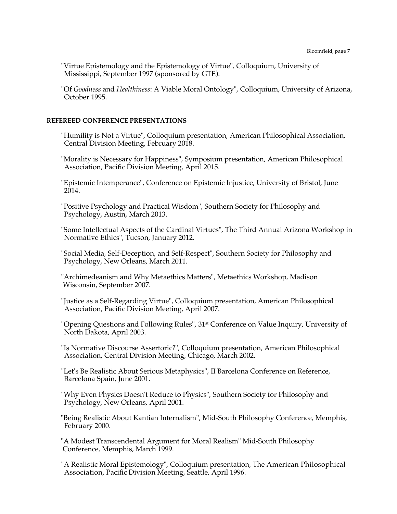"Virtue Epistemology and the Epistemology of Virtue", Colloquium, University of Mississippi, September 1997 (sponsored by GTE).

"Of *Goodness* and *Healthiness*: A Viable Moral Ontology", Colloquium, University of Arizona, October 1995.

#### **REFEREED CONFERENCE PRESENTATIONS**

"Humility is Not a Virtue", Colloquium presentation, American Philosophical Association, Central Division Meeting, February 2018.

"Morality is Necessary for Happiness", Symposium presentation, American Philosophical Association, Pacific Division Meeting, April 2015.

"Epistemic Intemperance", Conference on Epistemic Injustice, University of Bristol, June  $2014.$ 

"Positive Psychology and Practical Wisdom", Southern Society for Philosophy and Psychology, Austin, March 2013.

"Some Intellectual Aspects of the Cardinal Virtues", The Third Annual Arizona Workshop in Normative Ethics", Tucson, January 2012.

"Social Media, Self-Deception, and Self-Respect", Southern Society for Philosophy and Psychology, New Orleans, March 2011.

"Archimedeanism and Why Metaethics Matters", Metaethics Workshop, Madison Wisconsin, September 2007.

"Justice as a Self-Regarding Virtue", Colloquium presentation, American Philosophical Association, Pacific Division Meeting, April 2007.

"Opening Questions and Following Rules", 31<sup>st</sup> Conference on Value Inquiry, University of North Dakota, April 2003.

"Is Normative Discourse Assertoric?", Colloquium presentation, American Philosophical Association, Central Division Meeting, Chicago, March 2002.

"Let's Be Realistic About Serious Metaphysics", II Barcelona Conference on Reference, Barcelona Spain, June 2001.

"Why Even Physics Doesn't Reduce to Physics", Southern Society for Philosophy and Psychology, New Orleans, April 2001.

 "Being Realistic About Kantian Internalism", Mid-South Philosophy Conference, Memphis, February 2000.

 "A Modest Transcendental Argument for Moral Realism" Mid-South Philosophy Conference, Memphis, March 1999.

"A Realistic Moral Epistemology", Colloquium presentation, The American Philosophical Association, Pacific Division Meeting, Seattle, April 1996.